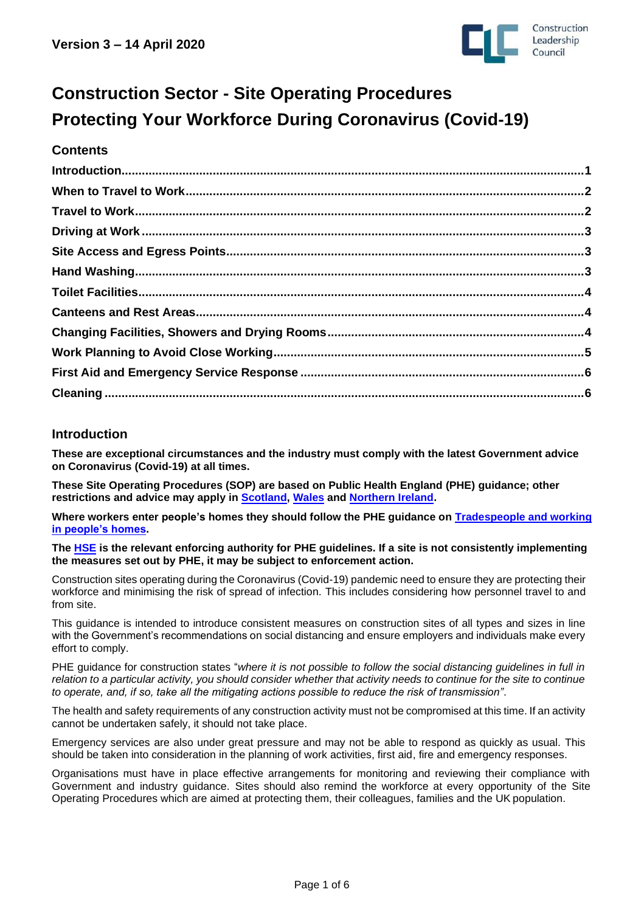

# **Construction Sector - Site Operating Procedures Protecting Your Workforce During Coronavirus (Covid-19)**

## **Contents**

## <span id="page-0-0"></span>**Introduction**

**These are exceptional circumstances and the industry must comply with the latest Government advice on Coronavirus (Covid-19) at all times.**

**These Site Operating Procedures (SOP) are based on Public Health England (PHE) guidance; other restrictions and advice may apply in [Scotland,](https://www.gov.scot/publications/coronavirus-covid-19-construction-sector-guidance/) [Wales](https://gov.wales/taking-all-reasonable-measures-maintain-physical-distancing-workplace) and [Northern Ireland.](https://www.nibusinessinfo.co.uk/content/coronavirus-workplace-safety-guidelines-and-social-distancing)**

**Where workers enter people's homes they should follow the PHE guidance on [Tradespeople and working](https://www.gov.uk/guidance/social-distancing-in-the-workplace-during-coronavirus-covid-19-sector-guidance#tradespeople-and-working-in-peoples-homes)  [in people's homes.](https://www.gov.uk/guidance/social-distancing-in-the-workplace-during-coronavirus-covid-19-sector-guidance#tradespeople-and-working-in-peoples-homes)**

**The [HSE](https://www.hse.gov.uk/news/coronavirus.htm?utm_source=hse.gov.uk&utm_medium=refferal&utm_campaign=coronavirus&utm_content=home-page-banner) is the relevant enforcing authority for PHE guidelines. If a site is not consistently implementing the measures set out by PHE, it may be subject to enforcement action.**

Construction sites operating during the Coronavirus (Covid-19) pandemic need to ensure they are protecting their workforce and minimising the risk of spread of infection. This includes considering how personnel travel to and from site.

This guidance is intended to introduce consistent measures on construction sites of all types and sizes in line with the Government's recommendations on social distancing and ensure employers and individuals make every effort to comply.

PHE guidance for construction states "*where it is not possible to follow the social distancing guidelines in full in relation to a particular activity, you should consider whether that activity needs to continue for the site to continue to operate, and, if so, take all the mitigating actions possible to reduce the risk of transmission"*.

The health and safety requirements of any construction activity must not be compromised at this time. If an activity cannot be undertaken safely, it should not take place.

Emergency services are also under great pressure and may not be able to respond as quickly as usual. This should be taken into consideration in the planning of work activities, first aid, fire and emergency responses.

Organisations must have in place effective arrangements for monitoring and reviewing their compliance with Government and industry guidance. Sites should also remind the workforce at every opportunity of the Site Operating Procedures which are aimed at protecting them, their colleagues, families and the UK population.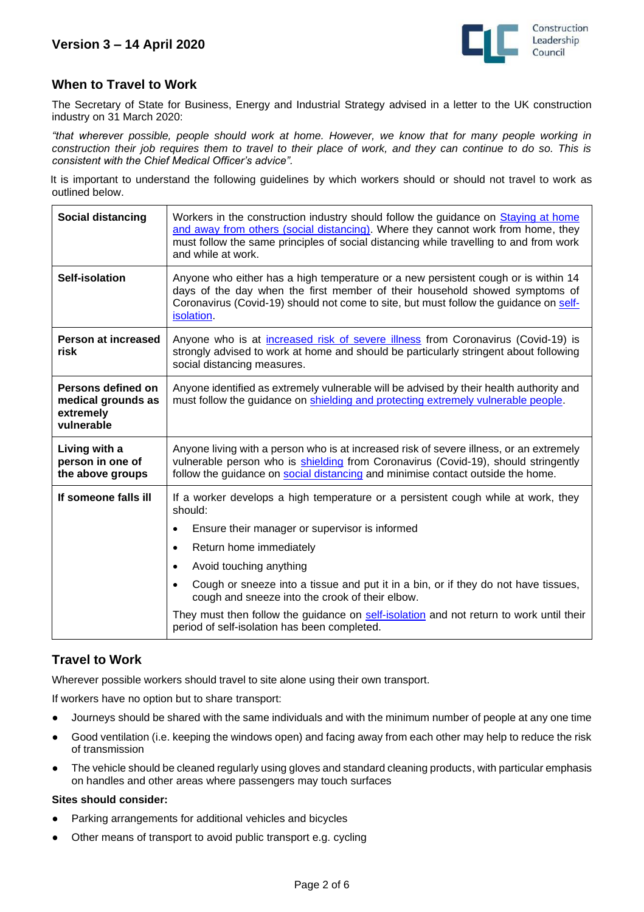

## <span id="page-1-0"></span>**When to Travel to Work**

The Secretary of State for Business, Energy and Industrial Strategy advised in a letter to the UK construction industry on 31 March 2020:

*"that wherever possible, people should work at home. However, we know that for many people working in construction their job requires them to travel to their place of work, and they can continue to do so. This is consistent with the Chief Medical Officer's advice".*

It is important to understand the following guidelines by which workers should or should not travel to work as outlined below.

| Social distancing                                                   | Workers in the construction industry should follow the guidance on Staying at home<br>and away from others (social distancing). Where they cannot work from home, they<br>must follow the same principles of social distancing while travelling to and from work<br>and while at work.                                                                                                                                                                                                                          |
|---------------------------------------------------------------------|-----------------------------------------------------------------------------------------------------------------------------------------------------------------------------------------------------------------------------------------------------------------------------------------------------------------------------------------------------------------------------------------------------------------------------------------------------------------------------------------------------------------|
| <b>Self-isolation</b>                                               | Anyone who either has a high temperature or a new persistent cough or is within 14<br>days of the day when the first member of their household showed symptoms of<br>Coronavirus (Covid-19) should not come to site, but must follow the guidance on self-<br>isolation.                                                                                                                                                                                                                                        |
| Person at increased<br>risk                                         | Anyone who is at increased risk of severe illness from Coronavirus (Covid-19) is<br>strongly advised to work at home and should be particularly stringent about following<br>social distancing measures.                                                                                                                                                                                                                                                                                                        |
| Persons defined on<br>medical grounds as<br>extremely<br>vulnerable | Anyone identified as extremely vulnerable will be advised by their health authority and<br>must follow the guidance on shielding and protecting extremely vulnerable people.                                                                                                                                                                                                                                                                                                                                    |
| Living with a<br>person in one of<br>the above groups               | Anyone living with a person who is at increased risk of severe illness, or an extremely<br>vulnerable person who is shielding from Coronavirus (Covid-19), should stringently<br>follow the guidance on social distancing and minimise contact outside the home.                                                                                                                                                                                                                                                |
| If someone falls ill                                                | If a worker develops a high temperature or a persistent cough while at work, they<br>should:<br>Ensure their manager or supervisor is informed<br>٠<br>Return home immediately<br>$\bullet$<br>Avoid touching anything<br>٠<br>Cough or sneeze into a tissue and put it in a bin, or if they do not have tissues,<br>cough and sneeze into the crook of their elbow.<br>They must then follow the guidance on self-isolation and not return to work until their<br>period of self-isolation has been completed. |

# <span id="page-1-1"></span>**Travel to Work**

Wherever possible workers should travel to site alone using their own transport.

If workers have no option but to share transport:

- Journeys should be shared with the same individuals and with the minimum number of people at any one time
- Good ventilation (i.e. keeping the windows open) and facing away from each other may help to reduce the risk of transmission
- The vehicle should be cleaned regularly using gloves and standard cleaning products, with particular emphasis on handles and other areas where passengers may touch surfaces

#### **Sites should consider:**

- Parking arrangements for additional vehicles and bicycles
- Other means of transport to avoid public transport e.g. cycling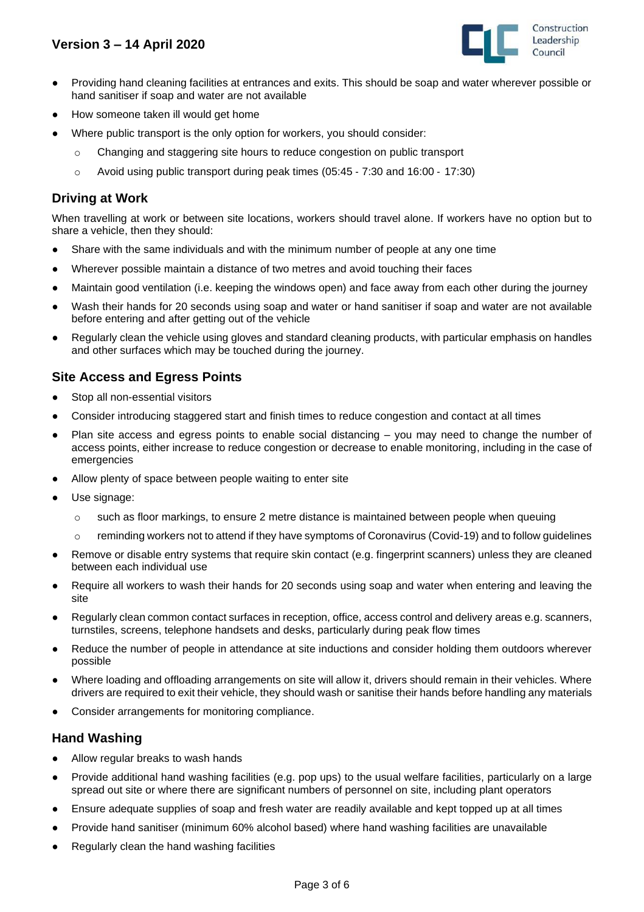# **Version 3 – 14 April 2020**



- Providing hand cleaning facilities at entrances and exits. This should be soap and water wherever possible or hand sanitiser if soap and water are not available
- How someone taken ill would get home
- Where public transport is the only option for workers, you should consider:
	- o Changing and staggering site hours to reduce congestion on public transport
	- o Avoid using public transport during peak times (05:45 ‐ 7:30 and 16:00 ‐ 17:30)

## <span id="page-2-0"></span>**Driving at Work**

When travelling at work or between site locations, workers should travel alone. If workers have no option but to share a vehicle, then they should:

- Share with the same individuals and with the minimum number of people at any one time
- Wherever possible maintain a distance of two metres and avoid touching their faces
- Maintain good ventilation (i.e. keeping the windows open) and face away from each other during the journey
- Wash their hands for 20 seconds using soap and water or hand sanitiser if soap and water are not available before entering and after getting out of the vehicle
- Regularly clean the vehicle using gloves and standard cleaning products, with particular emphasis on handles and other surfaces which may be touched during the journey.

## <span id="page-2-1"></span>**Site Access and Egress Points**

- Stop all non-essential visitors
- Consider introducing staggered start and finish times to reduce congestion and contact at all times
- Plan site access and egress points to enable social distancing  $-$  you may need to change the number of access points, either increase to reduce congestion or decrease to enable monitoring, including in the case of emergencies
- Allow plenty of space between people waiting to enter site
- Use signage:
	- $\circ$  such as floor markings, to ensure 2 metre distance is maintained between people when queuing
	- $\circ$  reminding workers not to attend if they have symptoms of Coronavirus (Covid-19) and to follow guidelines
- Remove or disable entry systems that require skin contact (e.g. fingerprint scanners) unless they are cleaned between each individual use
- Require all workers to wash their hands for 20 seconds using soap and water when entering and leaving the site
- Regularly clean common contact surfaces in reception, office, access control and delivery areas e.g. scanners, turnstiles, screens, telephone handsets and desks, particularly during peak flow times
- Reduce the number of people in attendance at site inductions and consider holding them outdoors wherever possible
- Where loading and offloading arrangements on site will allow it, drivers should remain in their vehicles. Where drivers are required to exit their vehicle, they should wash or sanitise their hands before handling any materials
- Consider arrangements for monitoring compliance.

#### <span id="page-2-2"></span>**Hand Washing**

- Allow regular breaks to wash hands
- Provide additional hand washing facilities (e.g. pop ups) to the usual welfare facilities, particularly on a large spread out site or where there are significant numbers of personnel on site, including plant operators
- Ensure adequate supplies of soap and fresh water are readily available and kept topped up at all times
- Provide hand sanitiser (minimum 60% alcohol based) where hand washing facilities are unavailable
- Regularly clean the hand washing facilities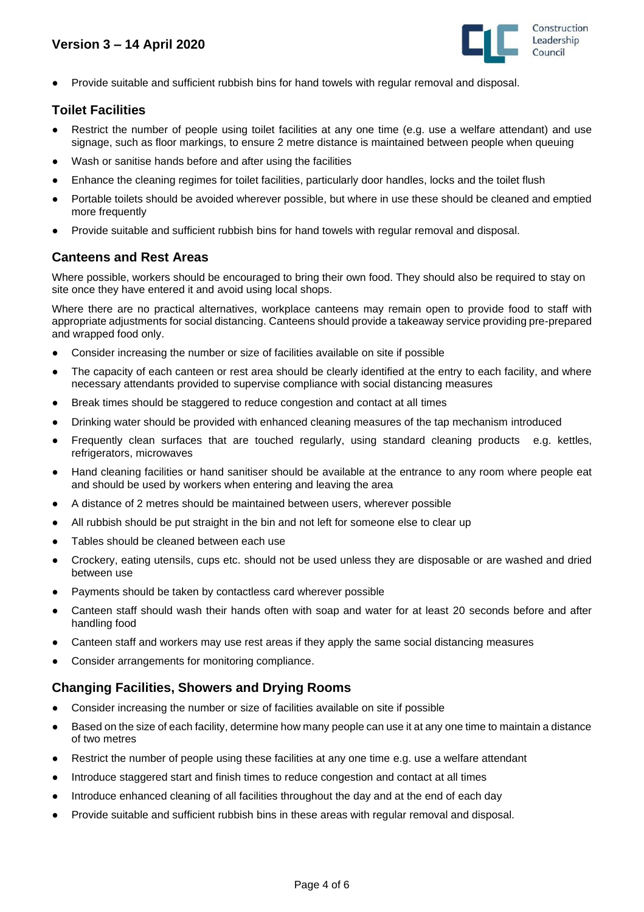

Provide suitable and sufficient rubbish bins for hand towels with regular removal and disposal.

## <span id="page-3-0"></span>**Toilet Facilities**

- Restrict the number of people using toilet facilities at any one time (e.g. use a welfare attendant) and use signage, such as floor markings, to ensure 2 metre distance is maintained between people when queuing
- Wash or sanitise hands before and after using the facilities
- Enhance the cleaning regimes for toilet facilities, particularly door handles, locks and the toilet flush
- Portable toilets should be avoided wherever possible, but where in use these should be cleaned and emptied more frequently
- Provide suitable and sufficient rubbish bins for hand towels with regular removal and disposal.

## <span id="page-3-1"></span>**Canteens and Rest Areas**

Where possible, workers should be encouraged to bring their own food. They should also be required to stay on site once they have entered it and avoid using local shops.

Where there are no practical alternatives, workplace canteens may remain open to provide food to staff with appropriate adjustments for social distancing. Canteens should provide a takeaway service providing pre-prepared and wrapped food only.

- Consider increasing the number or size of facilities available on site if possible
- The capacity of each canteen or rest area should be clearly identified at the entry to each facility, and where necessary attendants provided to supervise compliance with social distancing measures
- Break times should be staggered to reduce congestion and contact at all times
- Drinking water should be provided with enhanced cleaning measures of the tap mechanism introduced
- Frequently clean surfaces that are touched regularly, using standard cleaning products e.g. kettles, refrigerators, microwaves
- Hand cleaning facilities or hand sanitiser should be available at the entrance to any room where people eat and should be used by workers when entering and leaving the area
- A distance of 2 metres should be maintained between users, wherever possible
- All rubbish should be put straight in the bin and not left for someone else to clear up
- Tables should be cleaned between each use
- Crockery, eating utensils, cups etc. should not be used unless they are disposable or are washed and dried between use
- Payments should be taken by contactless card wherever possible
- Canteen staff should wash their hands often with soap and water for at least 20 seconds before and after handling food
- Canteen staff and workers may use rest areas if they apply the same social distancing measures
- Consider arrangements for monitoring compliance.

## <span id="page-3-2"></span>**Changing Facilities, Showers and Drying Rooms**

- Consider increasing the number or size of facilities available on site if possible
- Based on the size of each facility, determine how many people can use it at any one time to maintain a distance of two metres
- Restrict the number of people using these facilities at any one time e.g. use a welfare attendant
- Introduce staggered start and finish times to reduce congestion and contact at all times
- Introduce enhanced cleaning of all facilities throughout the day and at the end of each day
- <span id="page-3-3"></span>Provide suitable and sufficient rubbish bins in these areas with regular removal and disposal.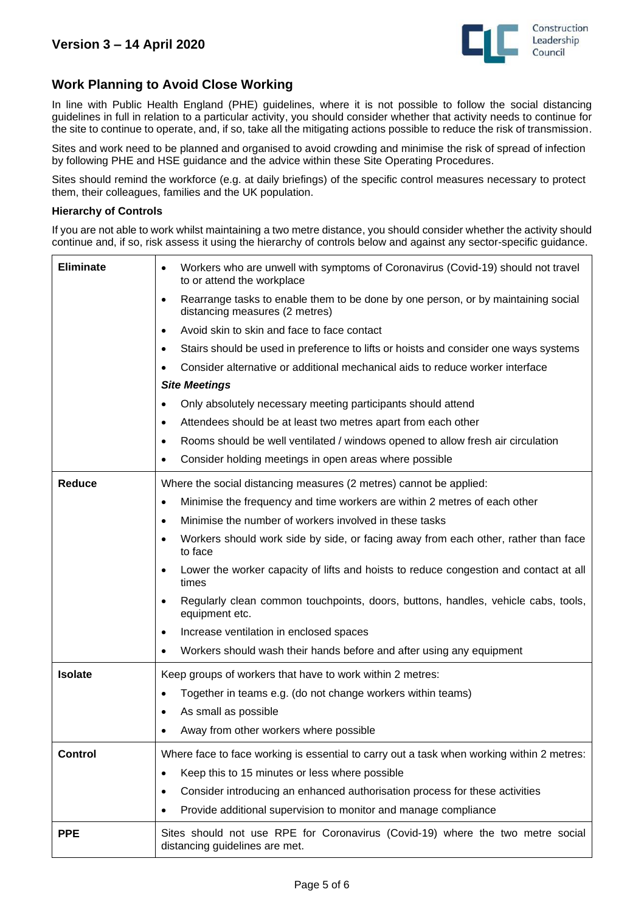

## **Work Planning to Avoid Close Working**

In line with Public Health England (PHE) guidelines, where it is not possible to follow the [social distancing](https://www.gov.uk/government/publications/full-guidance-on-staying-at-home-and-away-from-others/full-guidance-on-staying-at-home-and-away-from-others)  [guidelines](https://www.gov.uk/government/publications/full-guidance-on-staying-at-home-and-away-from-others/full-guidance-on-staying-at-home-and-away-from-others) in full in relation to a particular activity, you should consider whether that activity needs to continue for the site to continue to operate, and, if so, take all the mitigating actions possible to reduce the risk of transmission.

Sites and work need to be planned and organised to avoid crowding and minimise the risk of spread of infection by following PHE and HSE guidance and the advice within these Site Operating Procedures.

Sites should remind the workforce (e.g. at daily briefings) of the specific control measures necessary to protect them, their colleagues, families and the UK population.

#### **Hierarchy of Controls**

If you are not able to work whilst maintaining a two metre distance, you should consider whether the activity should continue and, if so, risk assess it using the hierarchy of controls below and against any sector-specific guidance.

| <b>Eliminate</b> | Workers who are unwell with symptoms of Coronavirus (Covid-19) should not travel<br>$\bullet$<br>to or attend the workplace      |
|------------------|----------------------------------------------------------------------------------------------------------------------------------|
|                  | Rearrange tasks to enable them to be done by one person, or by maintaining social<br>$\bullet$<br>distancing measures (2 metres) |
|                  | Avoid skin to skin and face to face contact<br>$\bullet$                                                                         |
|                  | Stairs should be used in preference to lifts or hoists and consider one ways systems<br>$\bullet$                                |
|                  | Consider alternative or additional mechanical aids to reduce worker interface                                                    |
|                  | <b>Site Meetings</b>                                                                                                             |
|                  | Only absolutely necessary meeting participants should attend<br>$\bullet$                                                        |
|                  | Attendees should be at least two metres apart from each other<br>$\bullet$                                                       |
|                  | Rooms should be well ventilated / windows opened to allow fresh air circulation<br>$\bullet$                                     |
|                  | Consider holding meetings in open areas where possible<br>$\bullet$                                                              |
| <b>Reduce</b>    | Where the social distancing measures (2 metres) cannot be applied:                                                               |
|                  | Minimise the frequency and time workers are within 2 metres of each other<br>$\bullet$                                           |
|                  | Minimise the number of workers involved in these tasks<br>$\bullet$                                                              |
|                  | Workers should work side by side, or facing away from each other, rather than face<br>$\bullet$<br>to face                       |
|                  | Lower the worker capacity of lifts and hoists to reduce congestion and contact at all<br>$\bullet$<br>times                      |
|                  | Regularly clean common touchpoints, doors, buttons, handles, vehicle cabs, tools,<br>$\bullet$<br>equipment etc.                 |
|                  | Increase ventilation in enclosed spaces<br>$\bullet$                                                                             |
|                  | Workers should wash their hands before and after using any equipment<br>$\bullet$                                                |
| <b>Isolate</b>   | Keep groups of workers that have to work within 2 metres:                                                                        |
|                  | Together in teams e.g. (do not change workers within teams)<br>$\bullet$                                                         |
|                  | As small as possible<br>$\bullet$                                                                                                |
|                  | Away from other workers where possible                                                                                           |
| <b>Control</b>   | Where face to face working is essential to carry out a task when working within 2 metres:                                        |
|                  | Keep this to 15 minutes or less where possible<br>$\bullet$                                                                      |
|                  | Consider introducing an enhanced authorisation process for these activities<br>٠                                                 |
|                  | Provide additional supervision to monitor and manage compliance<br>٠                                                             |
| <b>PPE</b>       | Sites should not use RPE for Coronavirus (Covid-19) where the two metre social<br>distancing guidelines are met.                 |